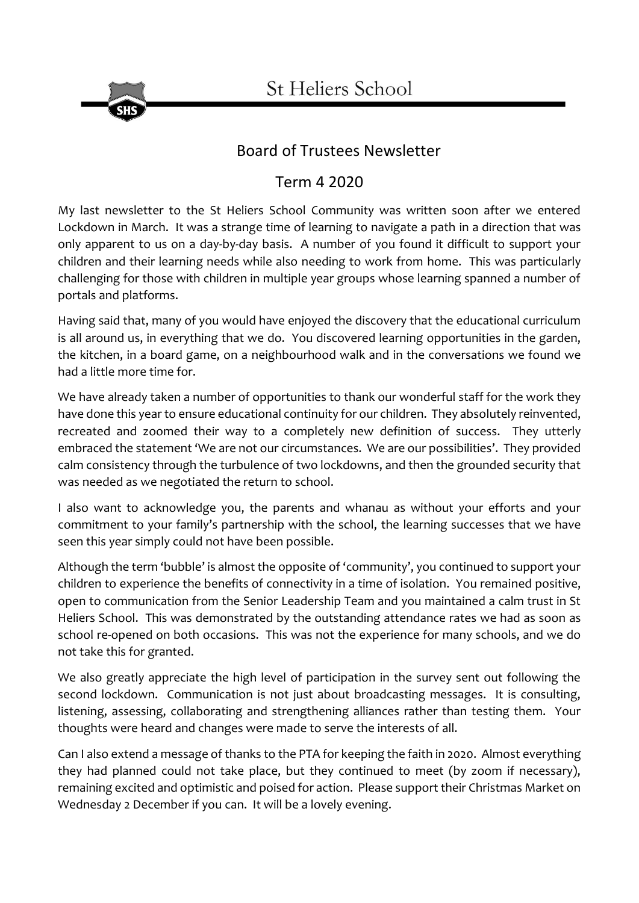

## Board of Trustees Newsletter

## Term 4 2020

My last newsletter to the St Heliers School Community was written soon after we entered Lockdown in March. It was a strange time of learning to navigate a path in a direction that was only apparent to us on a day-by-day basis. A number of you found it difficult to support your children and their learning needs while also needing to work from home. This was particularly challenging for those with children in multiple year groups whose learning spanned a number of portals and platforms.

Having said that, many of you would have enjoyed the discovery that the educational curriculum is all around us, in everything that we do. You discovered learning opportunities in the garden, the kitchen, in a board game, on a neighbourhood walk and in the conversations we found we had a little more time for.

We have already taken a number of opportunities to thank our wonderful staff for the work they have done this year to ensure educational continuity for our children. They absolutely reinvented, recreated and zoomed their way to a completely new definition of success. They utterly embraced the statement 'We are not our circumstances. We are our possibilities'. They provided calm consistency through the turbulence of two lockdowns, and then the grounded security that was needed as we negotiated the return to school.

I also want to acknowledge you, the parents and whanau as without your efforts and your commitment to your family's partnership with the school, the learning successes that we have seen this year simply could not have been possible.

Although the term 'bubble' is almost the opposite of 'community', you continued to support your children to experience the benefits of connectivity in a time of isolation. You remained positive, open to communication from the Senior Leadership Team and you maintained a calm trust in St Heliers School. This was demonstrated by the outstanding attendance rates we had as soon as school re-opened on both occasions. This was not the experience for many schools, and we do not take this for granted.

We also greatly appreciate the high level of participation in the survey sent out following the second lockdown. Communication is not just about broadcasting messages. It is consulting, listening, assessing, collaborating and strengthening alliances rather than testing them. Your thoughts were heard and changes were made to serve the interests of all.

Can I also extend a message of thanks to the PTA for keeping the faith in 2020. Almost everything they had planned could not take place, but they continued to meet (by zoom if necessary), remaining excited and optimistic and poised for action. Please support their Christmas Market on Wednesday 2 December if you can. It will be a lovely evening.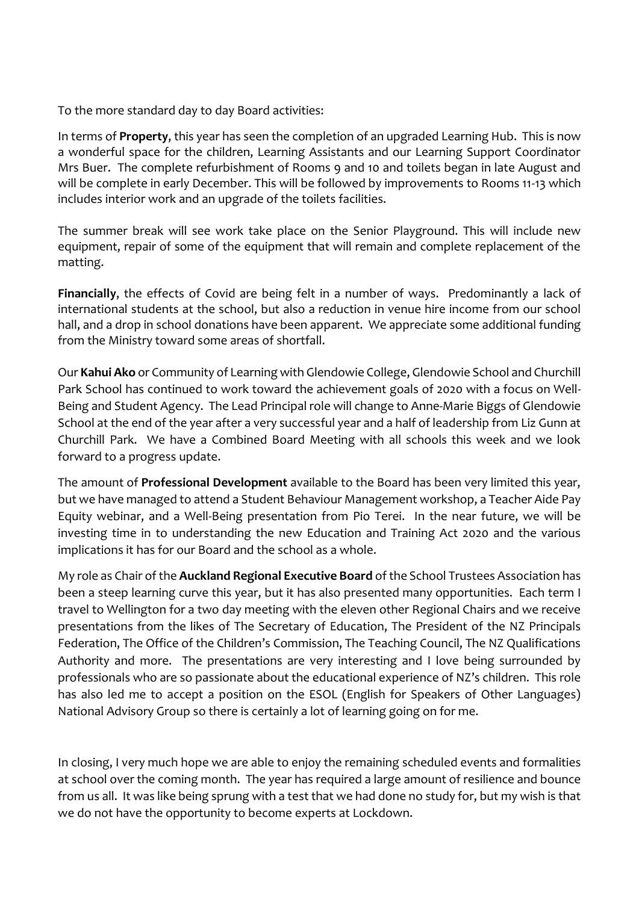To the more standard day to day Board activities:

In terms of **Property**, this year has seen the completion of an upgraded Learning Hub. This is now a wonderful space for the children, Learning Assistants and our Learning Support Coordinator Mrs Buer. The complete refurbishment of Rooms 9 and 10 and toilets began in late August and will be complete in early December. This will be followed by improvements to Rooms 11-13 which includes interior work and an upgrade of the toilets facilities.

The summer break will see work take place on the Senior Playground. This will include new equipment, repair of some of the equipment that will remain and complete replacement of the matting.

**Financially**, the effects of Covid are being felt in a number of ways. Predominantly a lack of international students at the school, but also a reduction in venue hire income from our school hall, and a drop in school donations have been apparent. We appreciate some additional funding from the Ministry toward some areas of shortfall.

Our **Kahui Ako** or Community of Learning with Glendowie College, Glendowie School and Churchill Park School has continued to work toward the achievement goals of 2020 with a focus on Well-Being and Student Agency. The Lead Principal role will change to Anne-Marie Biggs of Glendowie School at the end of the year after a very successful year and a half of leadership from Liz Gunn at Churchill Park. We have a Combined Board Meeting with all schools this week and we look forward to a progress update.

The amount of **Professional Development** available to the Board has been very limited this year, but we have managed to attend a Student Behaviour Management workshop, a Teacher Aide Pay Equity webinar, and a Well-Being presentation from Pio Terei. In the near future, we will be investing time in to understanding the new Education and Training Act 2020 and the various implications it has for our Board and the school as a whole.

My role as Chair of the **Auckland Regional Executive Board** of the School Trustees Association has been a steep learning curve this year, but it has also presented many opportunities. Each term I travel to Wellington for a two day meeting with the eleven other Regional Chairs and we receive presentations from the likes of The Secretary of Education, The President of the NZ Principals Federation, The Office of the Children's Commission, The Teaching Council, The NZ Qualifications Authority and more. The presentations are very interesting and I love being surrounded by professionals who are so passionate about the educational experience of NZ's children. This role has also led me to accept a position on the ESOL (English for Speakers of Other Languages) National Advisory Group so there is certainly a lot of learning going on for me.

In closing, I very much hope we are able to enjoy the remaining scheduled events and formalities at school over the coming month. The year has required a large amount of resilience and bounce from us all. It was like being sprung with a test that we had done no study for, but my wish is that we do not have the opportunity to become experts at Lockdown.